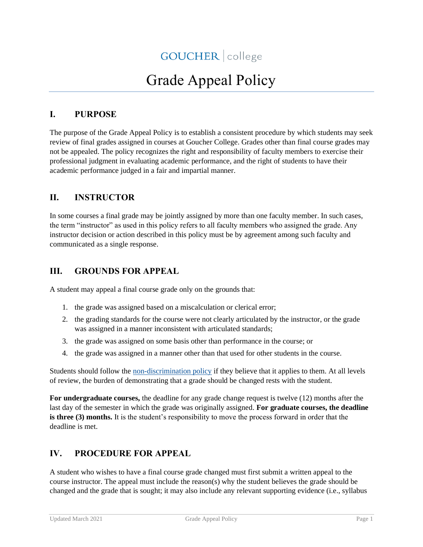# Grade Appeal Policy

## **I. PURPOSE**

The purpose of the Grade Appeal Policy is to establish a consistent procedure by which students may seek review of final grades assigned in courses at Goucher College. Grades other than final course grades may not be appealed. The policy recognizes the right and responsibility of faculty members to exercise their professional judgment in evaluating academic performance, and the right of students to have their academic performance judged in a fair and impartial manner.

#### **II. INSTRUCTOR**

In some courses a final grade may be jointly assigned by more than one faculty member. In such cases, the term "instructor" as used in this policy refers to all faculty members who assigned the grade. Any instructor decision or action described in this policy must be by agreement among such faculty and communicated as a single response.

### **III. GROUNDS FOR APPEAL**

A student may appeal a final course grade only on the grounds that:

- 1. the grade was assigned based on a miscalculation or clerical error;
- 2. the grading standards for the course were not clearly articulated by the instructor, or the grade was assigned in a manner inconsistent with articulated standards;
- 3. the grade was assigned on some basis other than performance in the course; or
- 4. the grade was assigned in a manner other than that used for other students in the course.

Students should follow the [non-discrimination policy](https://www.goucher.edu/policies/nondiscrimination-notice-and-policy) if they believe that it applies to them. At all levels of review, the burden of demonstrating that a grade should be changed rests with the student.

**For undergraduate courses,** the deadline for any grade change request is twelve (12) months after the last day of the semester in which the grade was originally assigned. **For graduate courses, the deadline is three (3) months.** It is the student's responsibility to move the process forward in order that the deadline is met.

#### **IV. PROCEDURE FOR APPEAL**

A student who wishes to have a final course grade changed must first submit a written appeal to the course instructor. The appeal must include the reason(s) why the student believes the grade should be changed and the grade that is sought; it may also include any relevant supporting evidence (i.e., syllabus